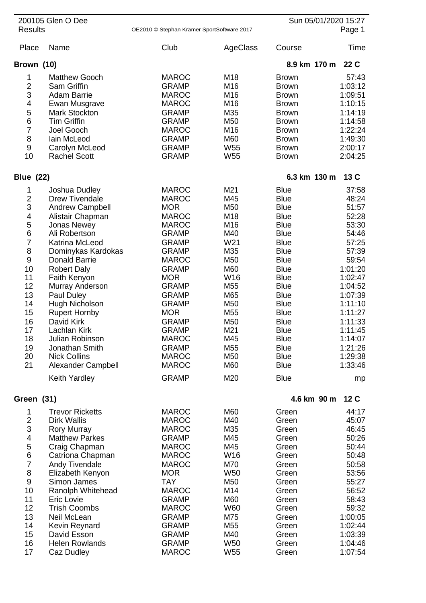| 200105 Glen O Dee<br><b>Results</b> |                        | OE2010 © Stephan Krämer SportSoftware 2017 |                 | Sun 05/01/2020 15:27<br>Page 1 |                 |
|-------------------------------------|------------------------|--------------------------------------------|-----------------|--------------------------------|-----------------|
|                                     |                        |                                            |                 |                                |                 |
| Place                               | Name                   | Club                                       | AgeClass        | Course                         | Time            |
| Brown (10)                          |                        |                                            |                 | 8.9 km 170 m                   | 22 C            |
| 1                                   | <b>Matthew Gooch</b>   | <b>MAROC</b>                               | M18             | <b>Brown</b>                   | 57:43           |
| $\overline{2}$                      | Sam Griffin            | <b>GRAMP</b>                               | M16             | <b>Brown</b>                   | 1:03:12         |
| 3                                   | <b>Adam Barrie</b>     | <b>MAROC</b>                               | M <sub>16</sub> | <b>Brown</b>                   | 1:09:51         |
| 4                                   | Ewan Musgrave          | <b>MAROC</b>                               | M16             | <b>Brown</b>                   | 1:10:15         |
| 5                                   | <b>Mark Stockton</b>   | <b>GRAMP</b>                               | M35             | <b>Brown</b>                   | 1:14:19         |
| 6                                   | <b>Tim Griffin</b>     | <b>GRAMP</b>                               | M50             | <b>Brown</b>                   | 1:14:58         |
| $\overline{7}$                      | Joel Gooch             | <b>MAROC</b>                               | M16             | <b>Brown</b>                   | 1:22:24         |
| 8                                   | lain McLeod            | <b>GRAMP</b>                               | M60             | <b>Brown</b>                   | 1:49:30         |
| 9                                   | Carolyn McLeod         | <b>GRAMP</b>                               | W <sub>55</sub> | <b>Brown</b>                   | 2:00:17         |
| 10                                  | <b>Rachel Scott</b>    | <b>GRAMP</b>                               | W <sub>55</sub> | <b>Brown</b>                   | 2:04:25         |
| <b>Blue (22)</b>                    |                        |                                            |                 | 6.3 km 130 m                   | 13C             |
| 1                                   | Joshua Dudley          | <b>MAROC</b>                               | M21             | <b>Blue</b>                    | 37:58           |
| $\overline{c}$                      | <b>Drew Tivendale</b>  | <b>MAROC</b>                               | M45             | <b>Blue</b>                    | 48:24           |
| 3                                   | <b>Andrew Campbell</b> | <b>MOR</b>                                 | M50             | <b>Blue</b>                    | 51:57           |
| 4                                   | Alistair Chapman       | <b>MAROC</b>                               | M18             | <b>Blue</b>                    | 52:28           |
| 5                                   | Jonas Newey            | <b>MAROC</b>                               | M16             | <b>Blue</b>                    | 53:30           |
| 6                                   | Ali Robertson          | <b>GRAMP</b>                               | M40             | <b>Blue</b>                    | 54:46           |
| $\overline{7}$                      | Katrina McLeod         | <b>GRAMP</b>                               | W21             | <b>Blue</b>                    | 57:25           |
| 8                                   | Dominykas Kardokas     | <b>GRAMP</b>                               | M35             | <b>Blue</b>                    | 57:39           |
| 9                                   | <b>Donald Barrie</b>   | <b>MAROC</b>                               | M50             | <b>Blue</b>                    | 59:54           |
| 10                                  | <b>Robert Daly</b>     | <b>GRAMP</b>                               | M60             | <b>Blue</b>                    | 1:01:20         |
| 11                                  | Faith Kenyon           | <b>MOR</b>                                 | W16             | <b>Blue</b>                    | 1:02:47         |
| 12                                  | Murray Anderson        | <b>GRAMP</b>                               | M55             | <b>Blue</b>                    | 1:04:52         |
| 13                                  | Paul Duley             | <b>GRAMP</b>                               | M65             | <b>Blue</b>                    | 1:07:39         |
| 14                                  | Hugh Nicholson         | <b>GRAMP</b>                               | M50             | <b>Blue</b>                    | 1:11:10         |
| 15                                  | <b>Rupert Hornby</b>   | <b>MOR</b>                                 | M <sub>55</sub> | <b>Blue</b>                    | 1:11:27         |
| 16                                  | David Kirk             | <b>GRAMP</b>                               | M50             | <b>Blue</b>                    | 1:11:33         |
| 17                                  | Lachlan Kirk           | <b>GRAMP</b>                               | M21             | <b>Blue</b>                    | 1:11:45         |
| 18                                  | Julian Robinson        | <b>MAROC</b>                               | M45             | <b>Blue</b>                    | 1:14:07         |
| 19                                  | Jonathan Smith         | <b>GRAMP</b>                               | M <sub>55</sub> | <b>Blue</b>                    | 1:21:26         |
| 20                                  | <b>Nick Collins</b>    | <b>MAROC</b>                               | M50             | <b>Blue</b>                    | 1:29:38         |
| 21                                  | Alexander Campbell     | <b>MAROC</b>                               | M60             | <b>Blue</b>                    | 1:33:46         |
|                                     | Keith Yardley          | <b>GRAMP</b>                               | M20             | <b>Blue</b>                    | mp              |
| Green (31)                          |                        |                                            |                 | 4.6 km 90 m                    | 12 <sub>C</sub> |
| 1                                   | <b>Trevor Ricketts</b> | <b>MAROC</b>                               | M60             | Green                          | 44:17           |
| $\overline{\mathbf{c}}$             | <b>Dirk Wallis</b>     | <b>MAROC</b>                               | M40             | Green                          | 45:07           |
| 3                                   | <b>Rory Murray</b>     | <b>MAROC</b>                               | M35             | Green                          | 46:45           |
| 4                                   | <b>Matthew Parkes</b>  | <b>GRAMP</b>                               | M45             | Green                          | 50:26           |
| 5                                   | Craig Chapman          | <b>MAROC</b>                               | M45             | Green                          | 50:44           |
| 6                                   | Catriona Chapman       | <b>MAROC</b>                               | W16             | Green                          | 50:48           |
| $\overline{7}$                      | Andy Tivendale         | <b>MAROC</b>                               | M70             | Green                          | 50:58           |
| 8                                   | Elizabeth Kenyon       | <b>MOR</b>                                 | W <sub>50</sub> | Green                          | 53:56           |
| 9                                   | Simon James            | <b>TAY</b>                                 | M50             | Green                          | 55:27           |
| 10                                  | Ranolph Whitehead      | <b>MAROC</b>                               | M14             | Green                          | 56:52           |
| 11                                  | Eric Lovie             | <b>GRAMP</b>                               | M60             | Green                          | 58:43           |
| 12                                  | <b>Trish Coombs</b>    | <b>MAROC</b>                               | W60             | Green                          | 59:32           |
| 13                                  | Neil McLean            | <b>GRAMP</b>                               | M75             | Green                          | 1:00:05         |
| 14                                  | Kevin Reynard          | <b>GRAMP</b>                               | M55             | Green                          | 1:02:44         |
| 15                                  | David Esson            | GRAMP                                      | M40             | Green                          | 1:03:39         |
| 16                                  | <b>Helen Rowlands</b>  | <b>GRAMP</b>                               | W <sub>50</sub> | Green                          | 1:04:46         |
| 17                                  | Caz Dudley             | <b>MAROC</b>                               | W <sub>55</sub> | Green                          | 1:07:54         |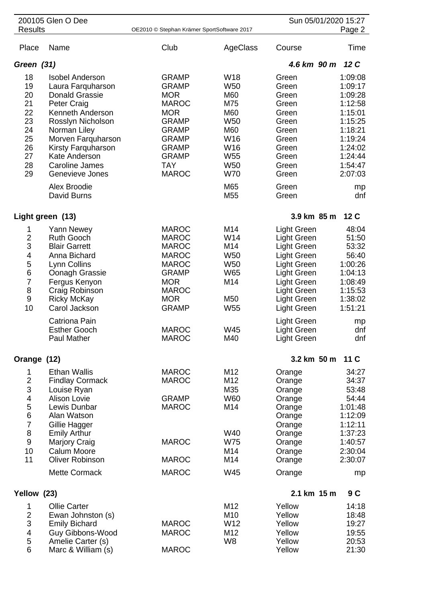| 200105 Glen O Dee                                                                               |                                                                                                                                                                                                                                                                       |                                                                                                                                                                                        |                                                                                                                                                  | Sun 05/01/2020 15:27                                                                                                                                                                  |                                                                                                                                        |
|-------------------------------------------------------------------------------------------------|-----------------------------------------------------------------------------------------------------------------------------------------------------------------------------------------------------------------------------------------------------------------------|----------------------------------------------------------------------------------------------------------------------------------------------------------------------------------------|--------------------------------------------------------------------------------------------------------------------------------------------------|---------------------------------------------------------------------------------------------------------------------------------------------------------------------------------------|----------------------------------------------------------------------------------------------------------------------------------------|
| <b>Results</b>                                                                                  |                                                                                                                                                                                                                                                                       | OE2010 © Stephan Krämer SportSoftware 2017                                                                                                                                             |                                                                                                                                                  |                                                                                                                                                                                       | Page 2                                                                                                                                 |
| Place                                                                                           | Name                                                                                                                                                                                                                                                                  | Club                                                                                                                                                                                   | AgeClass                                                                                                                                         | Course                                                                                                                                                                                | Time                                                                                                                                   |
| Green (31)                                                                                      |                                                                                                                                                                                                                                                                       |                                                                                                                                                                                        |                                                                                                                                                  | 4.6 km 90 m                                                                                                                                                                           | 12C                                                                                                                                    |
| 18<br>19<br>20<br>21<br>22<br>23<br>24<br>25<br>26<br>27<br>28<br>29                            | <b>Isobel Anderson</b><br>Laura Farquharson<br><b>Donald Grassie</b><br>Peter Craig<br>Kenneth Anderson<br>Rosslyn Nicholson<br>Norman Liley<br>Morven Farquharson<br>Kirsty Farquharson<br>Kate Anderson<br><b>Caroline James</b><br>Genevieve Jones<br>Alex Broodie | <b>GRAMP</b><br><b>GRAMP</b><br><b>MOR</b><br><b>MAROC</b><br><b>MOR</b><br><b>GRAMP</b><br><b>GRAMP</b><br><b>GRAMP</b><br><b>GRAMP</b><br><b>GRAMP</b><br><b>TAY</b><br><b>MAROC</b> | W <sub>18</sub><br><b>W50</b><br>M60<br>M75<br>M60<br><b>W50</b><br>M60<br>W16<br>W16<br>W <sub>55</sub><br>W <sub>50</sub><br><b>W70</b><br>M65 | Green<br>Green<br>Green<br>Green<br>Green<br>Green<br>Green<br>Green<br>Green<br>Green<br>Green<br>Green<br>Green                                                                     | 1:09:08<br>1:09:17<br>1:09:28<br>1:12:58<br>1:15:01<br>1:15:25<br>1:18:21<br>1:19:24<br>1:24:02<br>1:24:44<br>1:54:47<br>2:07:03<br>mp |
|                                                                                                 | David Burns                                                                                                                                                                                                                                                           |                                                                                                                                                                                        | M55                                                                                                                                              | Green                                                                                                                                                                                 | dnf                                                                                                                                    |
| Light green (13)                                                                                |                                                                                                                                                                                                                                                                       |                                                                                                                                                                                        |                                                                                                                                                  | 3.9 km 85 m                                                                                                                                                                           | 12C                                                                                                                                    |
| 1<br>$\overline{c}$<br>3<br>$\overline{\mathbf{4}}$<br>5<br>6<br>$\overline{7}$<br>8<br>9<br>10 | Yann Newey<br><b>Ruth Gooch</b><br><b>Blair Garrett</b><br>Anna Bichard<br>Lynn Collins<br>Oonagh Grassie<br>Fergus Kenyon<br>Craig Robinson<br><b>Ricky McKay</b><br>Carol Jackson                                                                                   | <b>MAROC</b><br><b>MAROC</b><br><b>MAROC</b><br><b>MAROC</b><br><b>MAROC</b><br><b>GRAMP</b><br><b>MOR</b><br><b>MAROC</b><br><b>MOR</b><br><b>GRAMP</b>                               | M14<br>W14<br>M14<br>W <sub>50</sub><br>W <sub>50</sub><br><b>W65</b><br>M14<br>M50<br>W <sub>55</sub>                                           | <b>Light Green</b><br><b>Light Green</b><br><b>Light Green</b><br>Light Green<br>Light Green<br>Light Green<br>Light Green<br>Light Green<br><b>Light Green</b><br><b>Light Green</b> | 48:04<br>51:50<br>53:32<br>56:40<br>1:00:26<br>1:04:13<br>1:08:49<br>1:15:53<br>1:38:02<br>1:51:21                                     |
|                                                                                                 | Catriona Pain<br><b>Esther Gooch</b><br>Paul Mather                                                                                                                                                                                                                   | <b>MAROC</b><br><b>MAROC</b>                                                                                                                                                           | W45<br>M40                                                                                                                                       | Light Green<br>Light Green<br>Light Green                                                                                                                                             | mp<br>dnf<br>dnf                                                                                                                       |
| Orange (12)                                                                                     |                                                                                                                                                                                                                                                                       |                                                                                                                                                                                        |                                                                                                                                                  | 3.2 km 50 m                                                                                                                                                                           | 11 C                                                                                                                                   |
| 1<br>$\overline{c}$<br>3<br>4<br>5<br>6<br>$\overline{7}$<br>8<br>9<br>10<br>11                 | <b>Ethan Wallis</b><br><b>Findlay Cormack</b><br>Louise Ryan<br><b>Alison Lovie</b><br>Lewis Dunbar<br>Alan Watson<br>Gillie Hagger<br><b>Emily Arthur</b><br><b>Marjory Craig</b><br><b>Calum Moore</b><br><b>Oliver Robinson</b><br><b>Mette Cormack</b>            | <b>MAROC</b><br><b>MAROC</b><br><b>GRAMP</b><br><b>MAROC</b><br><b>MAROC</b><br><b>MAROC</b><br><b>MAROC</b>                                                                           | M12<br>M12<br>M35<br><b>W60</b><br>M14<br>W40<br><b>W75</b><br>M14<br>M14<br>W45                                                                 | Orange<br>Orange<br>Orange<br>Orange<br>Orange<br>Orange<br>Orange<br>Orange<br>Orange<br>Orange<br>Orange<br>Orange                                                                  | 34:27<br>34:37<br>53:48<br>54:44<br>1:01:48<br>1:12:09<br>1:12:11<br>1:37:23<br>1:40:57<br>2:30:04<br>2:30:07<br>mp                    |
| Yellow (23)                                                                                     |                                                                                                                                                                                                                                                                       |                                                                                                                                                                                        |                                                                                                                                                  | 2.1 km 15 m                                                                                                                                                                           | 9 C                                                                                                                                    |
| 1<br>$\overline{2}$<br>3<br>4<br>5<br>6                                                         | <b>Ollie Carter</b><br>Ewan Johnston (s)<br><b>Emily Bichard</b><br>Guy Gibbons-Wood<br>Amelie Carter (s)<br>Marc & William (s)                                                                                                                                       | <b>MAROC</b><br><b>MAROC</b><br><b>MAROC</b>                                                                                                                                           | M12<br>M <sub>10</sub><br>W12<br>M12<br>W <sub>8</sub>                                                                                           | Yellow<br>Yellow<br>Yellow<br>Yellow<br>Yellow<br>Yellow                                                                                                                              | 14:18<br>18:48<br>19:27<br>19:55<br>20:53<br>21:30                                                                                     |